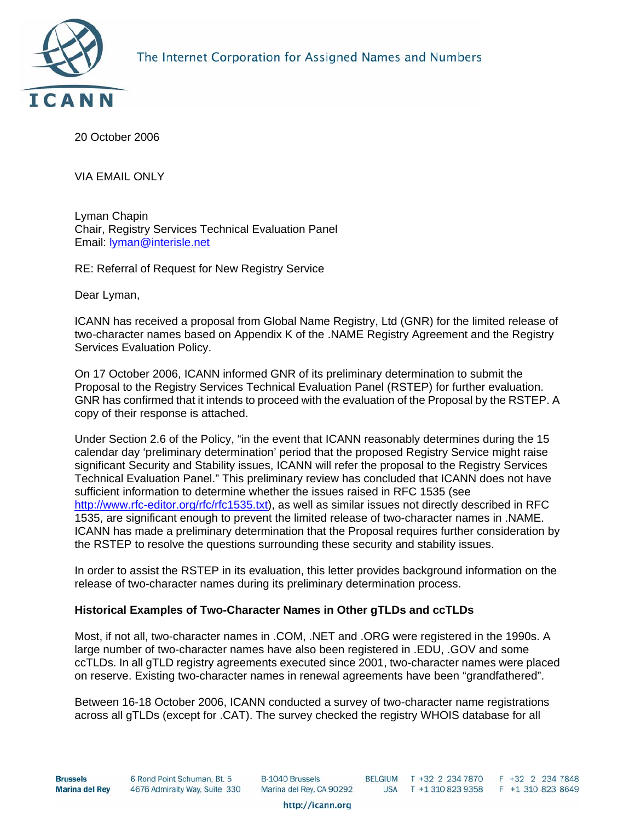

20 October 2006

VIA EMAIL ONLY

Lyman Chapin Chair, Registry Services Technical Evaluation Panel Email: [lyman@interisle.net](mailto:lyman@interisle.net)

RE: Referral of Request for New Registry Service

Dear Lyman,

ICANN has received a proposal from Global Name Registry, Ltd (GNR) for the limited release of two-character names based on Appendix K of the .NAME Registry Agreement and the Registry Services Evaluation Policy.

On 17 October 2006, ICANN informed GNR of its preliminary determination to submit the Proposal to the Registry Services Technical Evaluation Panel (RSTEP) for further evaluation. GNR has confirmed that it intends to proceed with the evaluation of the Proposal by the RSTEP. A copy of their response is attached.

Under Section 2.6 of the Policy, "in the event that ICANN reasonably determines during the 15 calendar day 'preliminary determination' period that the proposed Registry Service might raise significant Security and Stability issues, ICANN will refer the proposal to the Registry Services Technical Evaluation Panel." This preliminary review has concluded that ICANN does not have sufficient information to determine whether the issues raised in RFC 1535 (see [http://www.rfc-editor.org/rfc/rfc1535.txt](http://www.ietf.org/rfc/rfc1535.txt)), as well as similar issues not directly described in RFC 1535, are significant enough to prevent the limited release of two-character names in .NAME. ICANN has made a preliminary determination that the Proposal requires further consideration by the RSTEP to resolve the questions surrounding these security and stability issues.

In order to assist the RSTEP in its evaluation, this letter provides background information on the release of two-character names during its preliminary determination process.

### **Historical Examples of Two-Character Names in Other gTLDs and ccTLDs**

Most, if not all, two-character names in .COM, .NET and .ORG were registered in the 1990s. A large number of two-character names have also been registered in .EDU, .GOV and some ccTLDs. In all gTLD registry agreements executed since 2001, two-character names were placed on reserve. Existing two-character names in renewal agreements have been "grandfathered".

Between 16-18 October 2006, ICANN conducted a survey of two-character name registrations across all gTLDs (except for .CAT). The survey checked the registry WHOIS database for all

**Brussels Marina del Rey**  6 Rond Point Schuman, Bt. 5 4676 Admiralty Way, Suite 330 **B-1040 Brussels** Marina del Rey, CA 90292

BELGIUM T +32 2 234 7870 F +32 2 234 7848<br>USA T +1 310 823 9358 F +1 310 823 8649

http://icann.org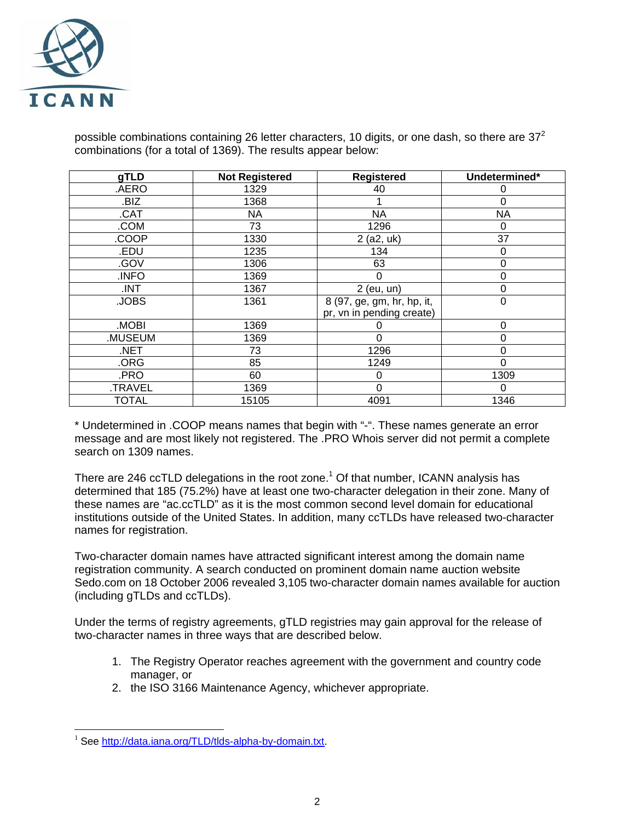

possible combinations containing 26 letter characters, 10 digits, or one dash, so there are 37<sup>2</sup> combinations (for a total of 1369). The results appear below:

| gTLD         | <b>Not Registered</b> | Registered                 | Undetermined* |
|--------------|-----------------------|----------------------------|---------------|
| .AERO        | 1329                  | 40                         | 0             |
| .BIZ         | 1368                  |                            | 0             |
| .CAT         | <b>NA</b>             | <b>NA</b>                  | <b>NA</b>     |
| .COM         | 73                    | 1296                       | 0             |
| .COOP        | 1330                  | $2$ (a2, uk)               | 37            |
| .EDU         | 1235                  | 134                        | 0             |
| .GOV         | 1306                  | 63                         | 0             |
| .INFO        | 1369                  | 0                          | 0             |
| .INT         | 1367                  | 2 (eu, un)                 | 0             |
| .JOBS        | 1361                  | 8 (97, ge, gm, hr, hp, it, | 0             |
|              |                       | pr, vn in pending create)  |               |
| <b>MOBI</b>  | 1369                  | O                          | 0             |
| .MUSEUM      | 1369                  | $\Omega$                   | 0             |
| .NET         | 73                    | 1296                       | 0             |
| .ORG         | 85                    | 1249                       | 0             |
| .PRO         | 60                    | 0                          | 1309          |
| .TRAVEL      | 1369                  | $\Omega$                   | 0             |
| <b>TOTAL</b> | 15105                 | 4091                       | 1346          |

\* Undetermined in .COOP means names that begin with "-". These names generate an error message and are most likely not registered. The .PRO Whois server did not permit a complete search on 1309 names.

There are 246 ccTLD delegations in the root zone.<sup>[1](#page-1-0)</sup> Of that number, ICANN analysis has determined that 185 (75.2%) have at least one two-character delegation in their zone. Many of these names are "ac.ccTLD" as it is the most common second level domain for educational institutions outside of the United States. In addition, many ccTLDs have released two-character names for registration.

Two-character domain names have attracted significant interest among the domain name registration community. A search conducted on prominent domain name auction website Sedo.com on 18 October 2006 revealed 3,105 two-character domain names available for auction (including gTLDs and ccTLDs).

Under the terms of registry agreements, gTLD registries may gain approval for the release of two-character names in three ways that are described below.

- 1. The Registry Operator reaches agreement with the government and country code manager, or
- 2. the ISO 3166 Maintenance Agency, whichever appropriate.

<span id="page-1-0"></span><sup>&</sup>lt;sup>1</sup> See [http://data.iana.org/TLD/tlds-alpha-by-domain.txt.](http://data.iana.org/TLD/tlds-alpha-by-domain.txt)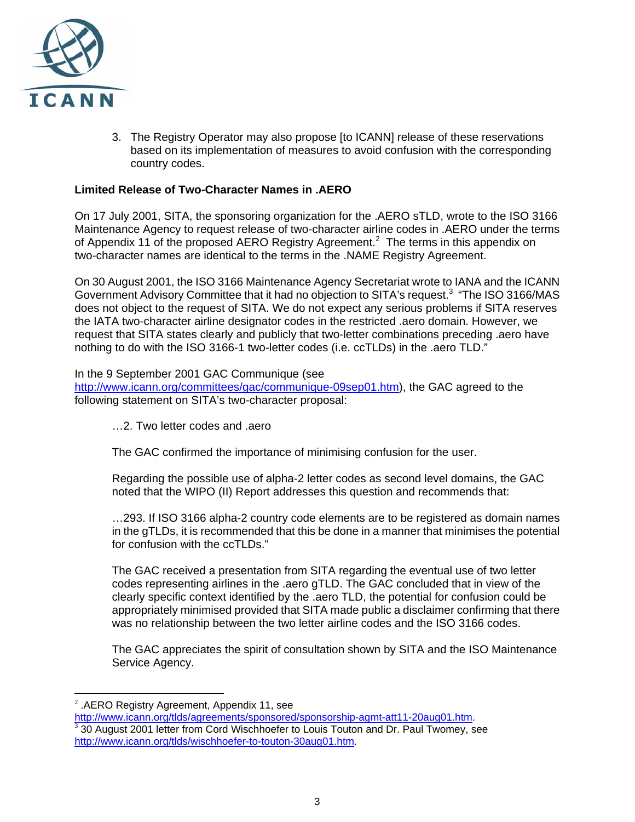

3. The Registry Operator may also propose [to ICANN] release of these reservations based on its implementation of measures to avoid confusion with the corresponding country codes.

## **Limited Release of Two-Character Names in .AERO**

On 17 July 2001, SITA, the sponsoring organization for the .AERO sTLD, wrote to the ISO 3166 Maintenance Agency to request release of two-character airline codes in .AERO under the terms of Appendix 11 of the proposed AERO Registry Agreement.<sup>[2](#page-2-0)</sup> The terms in this appendix on two-character names are identical to the terms in the .NAME Registry Agreement.

On 30 August 2001, the ISO 3166 Maintenance Agency Secretariat wrote to IANA and the ICANN Government Advisory Committee that it had no objection to SITA's request[.3](#page-2-1) "The ISO 3166/MAS does not object to the request of SITA. We do not expect any serious problems if SITA reserves the IATA two-character airline designator codes in the restricted .aero domain. However, we request that SITA states clearly and publicly that two-letter combinations preceding .aero have nothing to do with the ISO 3166-1 two-letter codes (i.e. ccTLDs) in the .aero TLD."

### In the 9 September 2001 GAC Communique (see

[http://www.icann.org/committees/gac/communique-09sep01.htm\)](http://www.icann.org/committees/gac/communique-09sep01.htm), the GAC agreed to the following statement on SITA's two-character proposal:

…2. Two letter codes and .aero

The GAC confirmed the importance of minimising confusion for the user.

Regarding the possible use of alpha-2 letter codes as second level domains, the GAC noted that the WIPO (II) Report addresses this question and recommends that:

…293. If ISO 3166 alpha-2 country code elements are to be registered as domain names in the gTLDs, it is recommended that this be done in a manner that minimises the potential for confusion with the ccTLDs."

The GAC received a presentation from SITA regarding the eventual use of two letter codes representing airlines in the .aero gTLD. The GAC concluded that in view of the clearly specific context identified by the .aero TLD, the potential for confusion could be appropriately minimised provided that SITA made public a disclaimer confirming that there was no relationship between the two letter airline codes and the ISO 3166 codes.

The GAC appreciates the spirit of consultation shown by SITA and the ISO Maintenance Service Agency.

<span id="page-2-0"></span>

<sup>&</sup>lt;sup>2</sup>.AERO Registry Agreement, Appendix 11, see<br>http://www.icann.org/tlds/agreements/sponsored/sponsorship-agmt-att11-20aug01.htm.

<span id="page-2-1"></span> $\frac{3}{3}$ 30 August 2001 letter from Cord Wischhoefer to Louis Touton and Dr. Paul Twomey, see [http://www.icann.org/tlds/wischhoefer-to-touton-30aug01.htm.](http://www.icann.org/tlds/wischhoefer-to-touton-30aug01.htm)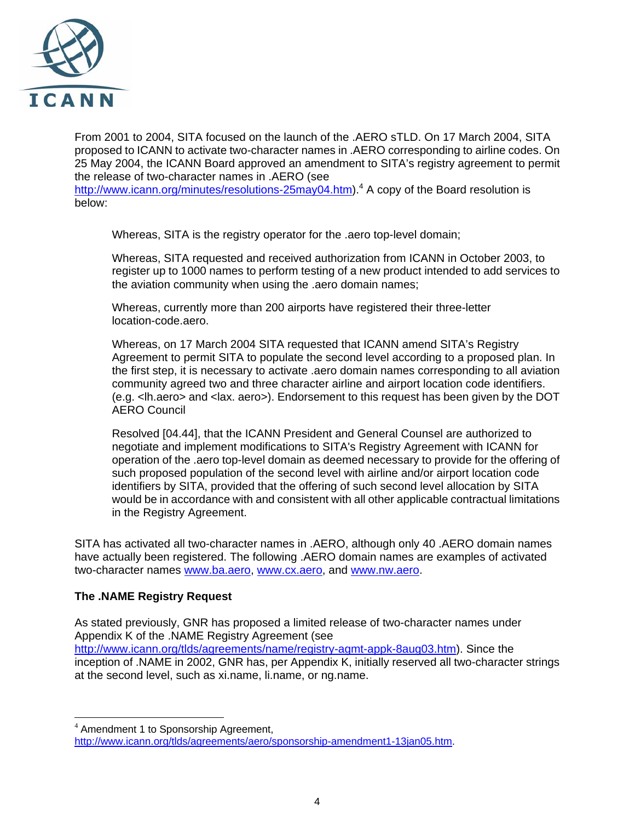

From 2001 to 2004, SITA focused on the launch of the .AERO sTLD. On 17 March 2004, SITA proposed to ICANN to activate two-character names in .AERO corresponding to airline codes. On 25 May 2004, the ICANN Board approved an amendment to SITA's registry agreement to permit the release of two-character names in .AERO (see

[http://www.icann.org/minutes/resolutions-25may04.htm\)](http://www.icann.org/minutes/resolutions-25may04.htm).<sup>[4](#page-3-0)</sup> A copy of the Board resolution is below:

Whereas, SITA is the registry operator for the .aero top-level domain;

Whereas, SITA requested and received authorization from ICANN in October 2003, to register up to 1000 names to perform testing of a new product intended to add services to the aviation community when using the .aero domain names;

Whereas, currently more than 200 airports have registered their three-letter location-code.aero.

Whereas, on 17 March 2004 SITA requested that ICANN amend SITA's Registry Agreement to permit SITA to populate the second level according to a proposed plan. In the first step, it is necessary to activate .aero domain names corresponding to all aviation community agreed two and three character airline and airport location code identifiers. (e.g. <lh.aero> and <lax. aero>). Endorsement to this request has been given by the DOT AERO Council

Resolved [04.44], that the ICANN President and General Counsel are authorized to negotiate and implement modifications to SITA's Registry Agreement with ICANN for operation of the .aero top-level domain as deemed necessary to provide for the offering of such proposed population of the second level with airline and/or airport location code identifiers by SITA, provided that the offering of such second level allocation by SITA would be in accordance with and consistent with all other applicable contractual limitations in the Registry Agreement.

SITA has activated all two-character names in .AERO, although only 40 .AERO domain names have actually been registered. The following .AERO domain names are examples of activated two-character names [www.ba.aero,](http://www.ba.aero/) [www.cx.aero,](http://www.cx.aero/) and [www.nw.aero](http://www.nw.aero/).

# **The .NAME Registry Request**

 $\overline{a}$ 

As stated previously, GNR has proposed a limited release of two-character names under Appendix K of the .NAME Registry Agreement (see [http://www.icann.org/tlds/agreements/name/registry-agmt-appk-8aug03.htm\)](http://www.icann.org/tlds/agreements/name/registry-agmt-appk-8aug03.htm). Since the inception of .NAME in 2002, GNR has, per Appendix K, initially reserved all two-character strings at the second level, such as xi.name, li.name, or ng.name.

<span id="page-3-0"></span><sup>&</sup>lt;sup>4</sup> Amendment 1 to Sponsorship Agreement, <http://www.icann.org/tlds/agreements/aero/sponsorship-amendment1-13jan05.htm>.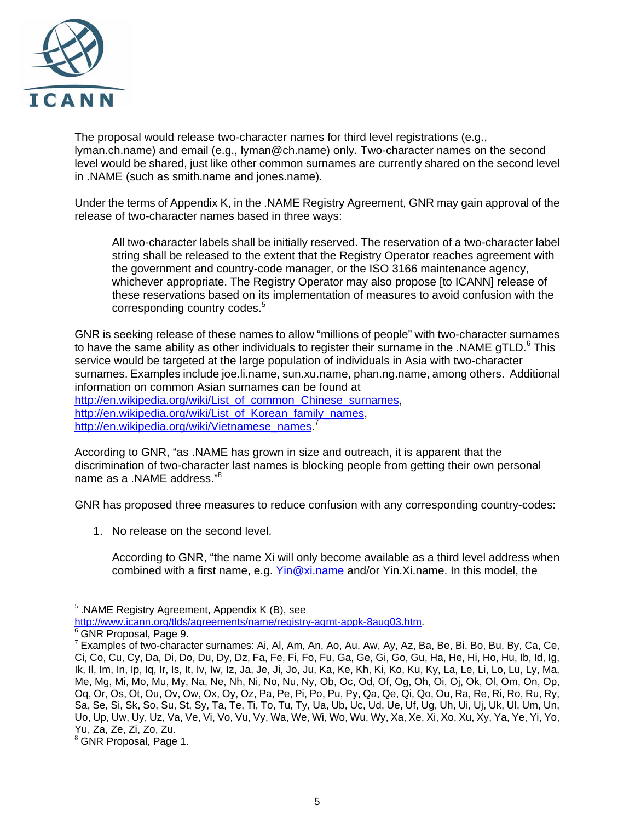

The proposal would release two-character names for third level registrations (e.g., lyman.ch.name) and email (e.g., lyman@ch.name) only. Two-character names on the second level would be shared, just like other common surnames are currently shared on the second level in .NAME (such as smith.name and jones.name).

Under the terms of Appendix K, in the .NAME Registry Agreement, GNR may gain approval of the release of two-character names based in three ways:

All two-character labels shall be initially reserved. The reservation of a two-character label string shall be released to the extent that the Registry Operator reaches agreement with the government and country-code manager, or the ISO 3166 maintenance agency, whichever appropriate. The Registry Operator may also propose [to ICANN] release of these reservations based on its implementation of measures to avoid confusion with the corresponding country codes.<sup>5</sup>

GNR is seeking release of these names to allow "millions of people" with two-character surnames to have the same ability as other individuals to register their surname in the .NAME gTLD. $6$  This service would be targeted at the large population of individuals in Asia with two-character surnames. Examples include joe.li.name, sun.xu.name, phan.ng.name, among others. Additional information on common Asian surnames can be found at [http://en.wikipedia.org/wiki/List\\_of\\_common\\_Chinese\\_surnames](http://en.wikipedia.org/wiki/List_of_common_Chinese_surnames), [http://en.wikipedia.org/wiki/List\\_of\\_Korean\\_family\\_names](http://en.wikipedia.org/wiki/List_of_Korean_family_names),

[http://en.wikipedia.org/wiki/Vietnamese\\_names.](http://en.wikipedia.org/wiki/Vietnamese_names)<sup>[7](#page-4-2)</sup>

According to GNR, "as .NAME has grown in size and outreach, it is apparent that the discrimination of two-character last names is blocking people from getting their own personal name as a .NAME address."<sup>8</sup>

GNR has proposed three measures to reduce confusion with any corresponding country-codes:

1. No release on the second level.

According to GNR, "the name Xi will only become available as a third level address when combined with a first name, e.g. [Yin@xi.name](mailto:Yin@xi.name) and/or Yin.Xi.name. In this model, the

<span id="page-4-0"></span><sup>&</sup>lt;sup>5</sup> .NAME Registry Agreement, Appendix K (B), see<br>http://www.icann.org/tlds/agreements/name/registry-agmt-appk-8aug03.htm.

<span id="page-4-2"></span><span id="page-4-1"></span> $^6$  GNR Proposal, Page 9.<br><sup>7</sup> Examples of two-character surnames: Ai, Al, Am, An, Ao, Au, Aw, Ay, Az, Ba, Be, Bi, Bo, Bu, By, Ca, Ce, Ci, Co, Cu, Cy, Da, Di, Do, Du, Dy, Dz, Fa, Fe, Fi, Fo, Fu, Ga, Ge, Gi, Go, Gu, Ha, He, Hi, Ho, Hu, Ib, Id, Ig, Ik, Il, Im, In, Ip, Iq, Ir, Is, It, Iv, Iw, Iz, Ja, Je, Ji, Jo, Ju, Ka, Ke, Kh, Ki, Ko, Ku, Ky, La, Le, Li, Lo, Lu, Ly, Ma, Me, Mg, Mi, Mo, Mu, My, Na, Ne, Nh, Ni, No, Nu, Ny, Ob, Oc, Od, Of, Og, Oh, Oi, Oj, Ok, Ol, Om, On, Op, Oq, Or, Os, Ot, Ou, Ov, Ow, Ox, Oy, Oz, Pa, Pe, Pi, Po, Pu, Py, Qa, Qe, Qi, Qo, Ou, Ra, Re, Ri, Ro, Ru, Ry, Sa, Se, Si, Sk, So, Su, St, Sy, Ta, Te, Ti, To, Tu, Ty, Ua, Ub, Uc, Ud, Ue, Uf, Ug, Uh, Ui, Uj, Uk, Ul, Um, Un, Uo, Up, Uw, Uy, Uz, Va, Ve, Vi, Vo, Vu, Vy, Wa, We, Wi, Wo, Wu, Wy, Xa, Xe, Xi, Xo, Xu, Xy, Ya, Ye, Yi, Yo, Yu, Za, Ze, Zi, Zo, Zu.<br><sup>8</sup> GNR Proposal, Page 1.

<span id="page-4-3"></span>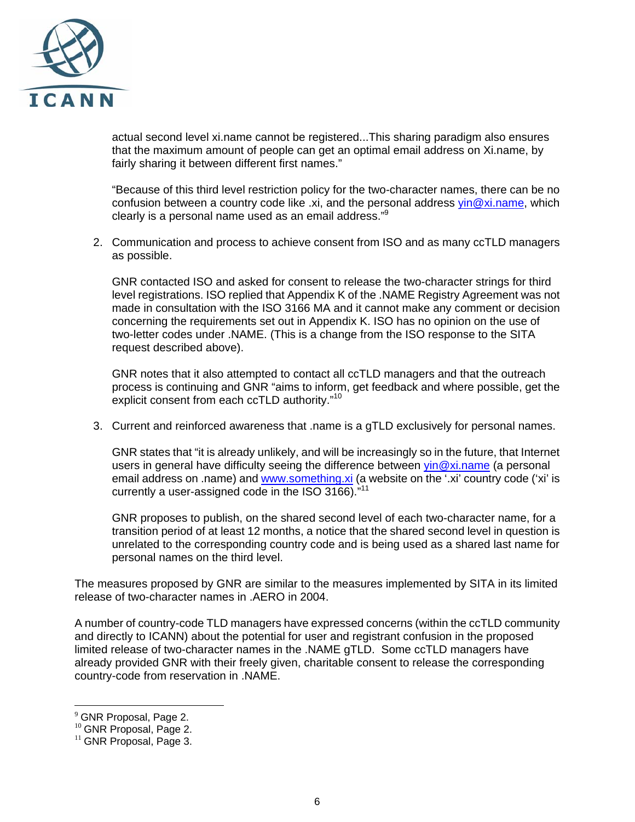

actual second level xi.name cannot be registered...This sharing paradigm also ensures that the maximum amount of people can get an optimal email address on Xi.name, by fairly sharing it between different first names."

"Because of this third level restriction policy for the two-character names, there can be no confusion between a country code like  $.xi$ , and the personal address yin  $@xi$ . name, which clearly is a personal name used as an email address."[9](#page-5-0)

2. Communication and process to achieve consent from ISO and as many ccTLD managers as possible.

GNR contacted ISO and asked for consent to release the two-character strings for third level registrations. ISO replied that Appendix K of the .NAME Registry Agreement was not made in consultation with the ISO 3166 MA and it cannot make any comment or decision concerning the requirements set out in Appendix K. ISO has no opinion on the use of two-letter codes under .NAME. (This is a change from the ISO response to the SITA request described above).

GNR notes that it also attempted to contact all ccTLD managers and that the outreach process is continuing and GNR "aims to inform, get feedback and where possible, get the explicit consent from each ccTLD authority."<sup>[10](#page-5-1)</sup>

3. Current and reinforced awareness that .name is a gTLD exclusively for personal names.

GNR states that "it is already unlikely, and will be increasingly so in the future, that Internet users in general have difficulty seeing the difference between  $\sin \omega x$  name (a personal email address on .name) and [www.something.xi](http://www.something.xi/) (a website on the '.xi' country code ('xi' is currently a user-assigned code in the ISO 3166)."[11](#page-5-2)

GNR proposes to publish, on the shared second level of each two-character name, for a transition period of at least 12 months, a notice that the shared second level in question is unrelated to the corresponding country code and is being used as a shared last name for personal names on the third level.

The measures proposed by GNR are similar to the measures implemented by SITA in its limited release of two-character names in .AERO in 2004.

A number of country-code TLD managers have expressed concerns (within the ccTLD community and directly to ICANN) about the potential for user and registrant confusion in the proposed limited release of two-character names in the .NAME gTLD. Some ccTLD managers have already provided GNR with their freely given, charitable consent to release the corresponding country-code from reservation in .NAME.

<span id="page-5-0"></span><sup>&</sup>lt;sup>9</sup> GNR Proposal, Page 2.<br><sup>10</sup> GNR Proposal, Page 2.<br><sup>11</sup> GNR Proposal, Page 3.

<span id="page-5-1"></span>

<span id="page-5-2"></span>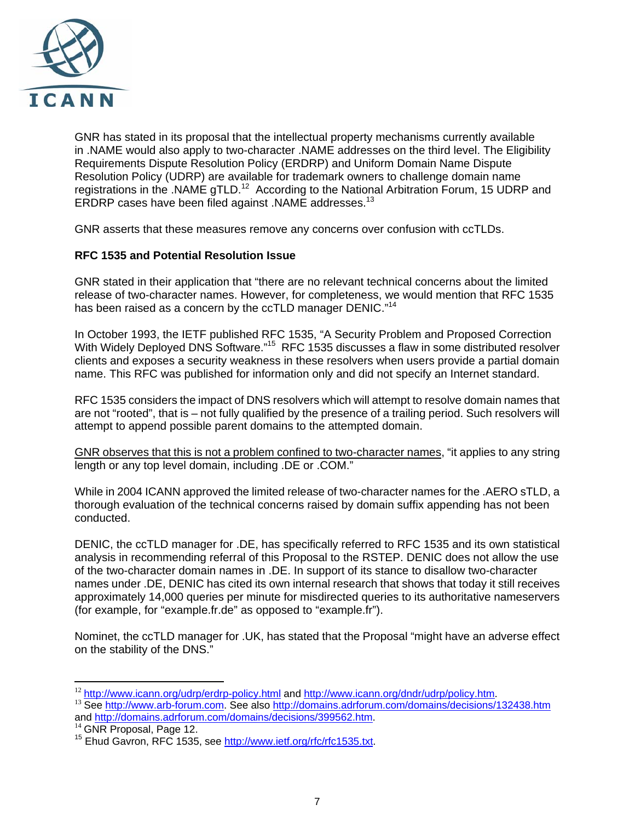

GNR has stated in its proposal that the intellectual property mechanisms currently available in .NAME would also apply to two-character .NAME addresses on the third level. The Eligibility Requirements Dispute Resolution Policy (ERDRP) and Uniform Domain Name Dispute Resolution Policy (UDRP) are available for trademark owners to challenge domain name registrations in the .NAME gTLD.<sup>12</sup> According to the National Arbitration Forum, 15 UDRP and ERDRP cases have been filed against .NAME addresses[.13](#page-6-1)

GNR asserts that these measures remove any concerns over confusion with ccTLDs.

# **RFC 1535 and Potential Resolution Issue**

GNR stated in their application that "there are no relevant technical concerns about the limited release of two-character names. However, for completeness, we would mention that RFC 1535 has been raised as a concern by the ccTLD manager DENIC."<sup>[14](#page-6-2)</sup>

In October 1993, the IETF published RFC 1535, "A Security Problem and Proposed Correction With Widely Deployed DNS Software."<sup>15</sup> RFC 1535 discusses a flaw in some distributed resolver clients and exposes a security weakness in these resolvers when users provide a partial domain name. This RFC was published for information only and did not specify an Internet standard.

RFC 1535 considers the impact of DNS resolvers which will attempt to resolve domain names that are not "rooted", that is – not fully qualified by the presence of a trailing period. Such resolvers will attempt to append possible parent domains to the attempted domain.

GNR observes that this is not a problem confined to two-character names, "it applies to any string length or any top level domain, including .DE or .COM."

While in 2004 ICANN approved the limited release of two-character names for the .AERO sTLD, a thorough evaluation of the technical concerns raised by domain suffix appending has not been conducted.

DENIC, the ccTLD manager for .DE, has specifically referred to RFC 1535 and its own statistical analysis in recommending referral of this Proposal to the RSTEP. DENIC does not allow the use of the two-character domain names in .DE. In support of its stance to disallow two-character names under .DE, DENIC has cited its own internal research that shows that today it still receives approximately 14,000 queries per minute for misdirected queries to its authoritative nameservers (for example, for "example.fr.de" as opposed to "example.fr").

Nominet, the ccTLD manager for .UK, has stated that the Proposal "might have an adverse effect on the stability of the DNS."

<span id="page-6-0"></span><sup>&</sup>lt;sup>12</sup> http://www.icann.org/udrp/erdrp-policy.html and http://www.icann.org/dndr/udrp/policy.htm.

<span id="page-6-1"></span><sup>&</sup>lt;sup>13</sup> See [http://www.arb-forum.com](http://www.arb-forum.com/). See also<http://domains.adrforum.com/domains/decisions/132438.htm><br>and http://domains.adrforum.com/domains/decisions/399562.htm.

<span id="page-6-3"></span>

<span id="page-6-2"></span><sup>&</sup>lt;sup>14</sup> GNR Proposal, Page 12.<br><sup>15</sup> Ehud Gavron, RFC 1535, see [http://www.ietf.org/rfc/rfc1535.txt.](http://www.ietf.org/rfc/rfc1535.txt)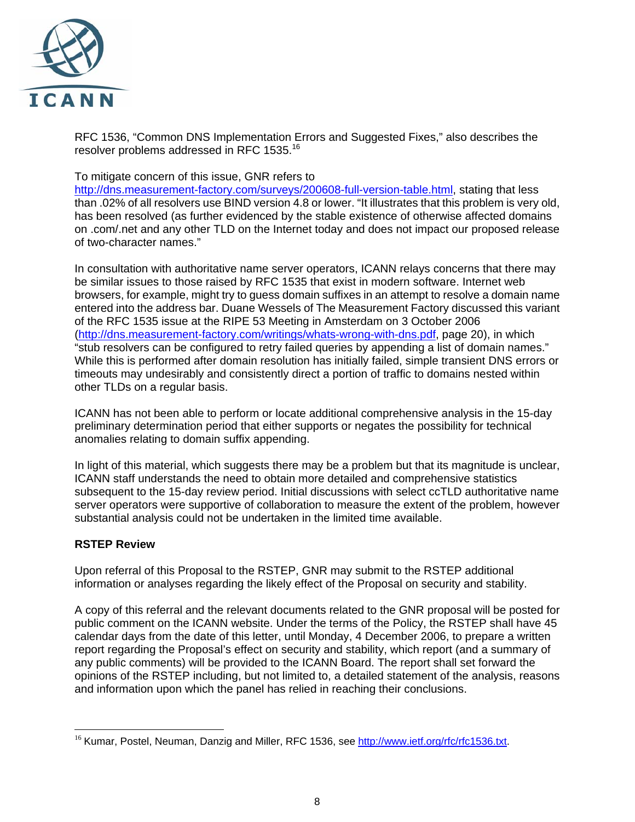

RFC 1536, "Common DNS Implementation Errors and Suggested Fixes," also describes the resolver problems addressed in RFC 1535.<sup>16</sup>

## To mitigate concern of this issue, GNR refers to

[http://dns.measurement-factory.com/surveys/200608-full-version-table.html,](http://dns.measurement-factory.com/surveys/200608-full-version-table.html) stating that less than .02% of all resolvers use BIND version 4.8 or lower. "It illustrates that this problem is very old, has been resolved (as further evidenced by the stable existence of otherwise affected domains on .com/.net and any other TLD on the Internet today and does not impact our proposed release of two-character names."

In consultation with authoritative name server operators, ICANN relays concerns that there may be similar issues to those raised by RFC 1535 that exist in modern software. Internet web browsers, for example, might try to guess domain suffixes in an attempt to resolve a domain name entered into the address bar. Duane Wessels of The Measurement Factory discussed this variant of the RFC 1535 issue at the RIPE 53 Meeting in Amsterdam on 3 October 2006 (<http://dns.measurement-factory.com/writings/whats-wrong-with-dns.pdf>, page 20), in which "stub resolvers can be configured to retry failed queries by appending a list of domain names." While this is performed after domain resolution has initially failed, simple transient DNS errors or timeouts may undesirably and consistently direct a portion of traffic to domains nested within other TLDs on a regular basis.

ICANN has not been able to perform or locate additional comprehensive analysis in the 15-day preliminary determination period that either supports or negates the possibility for technical anomalies relating to domain suffix appending.

In light of this material, which suggests there may be a problem but that its magnitude is unclear, ICANN staff understands the need to obtain more detailed and comprehensive statistics subsequent to the 15-day review period. Initial discussions with select ccTLD authoritative name server operators were supportive of collaboration to measure the extent of the problem, however substantial analysis could not be undertaken in the limited time available.

# **RSTEP Review**

Upon referral of this Proposal to the RSTEP, GNR may submit to the RSTEP additional information or analyses regarding the likely effect of the Proposal on security and stability.

A copy of this referral and the relevant documents related to the GNR proposal will be posted for public comment on the ICANN website. Under the terms of the Policy, the RSTEP shall have 45 calendar days from the date of this letter, until Monday, 4 December 2006, to prepare a written report regarding the Proposal's effect on security and stability, which report (and a summary of any public comments) will be provided to the ICANN Board. The report shall set forward the opinions of the RSTEP including, but not limited to, a detailed statement of the analysis, reasons and information upon which the panel has relied in reaching their conclusions.

<span id="page-7-0"></span> $\overline{a}$ <sup>16</sup> Kumar, Postel, Neuman, Danzig and Miller, RFC 1536, see [http://www.ietf.org/rfc/rfc1536.txt.](http://www.ietf.org/rfc/rfc1536.txt)